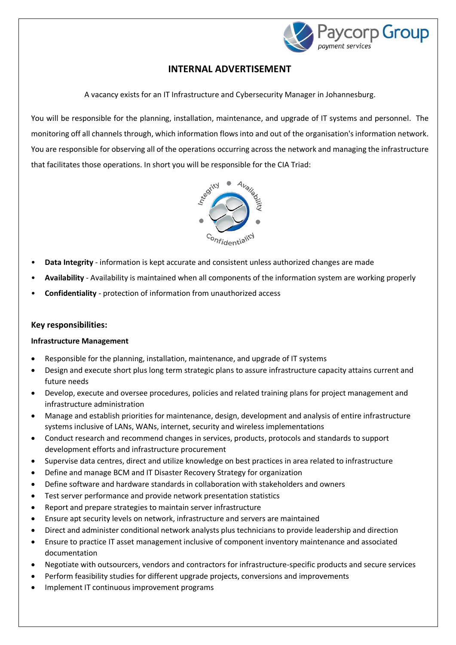

# **INTERNAL ADVERTISEMENT**

A vacancy exists for an IT Infrastructure and Cybersecurity Manager in Johannesburg.

You will be responsible for the planning, installation, maintenance, and upgrade of IT systems and personnel. The monitoring off all channels through, which information flows into and out of the organisation's information network. You are responsible for observing all of the operations occurring across the network and managing the infrastructure that facilitates those operations. In short you will be responsible for the CIA Triad:



- **Data Integrity** information is kept accurate and consistent unless authorized changes are made
- **Availability** Availability is maintained when all components of the information system are working properly
- **Confidentiality**  protection of information from unauthorized access

### **Key responsibilities:**

#### **Infrastructure Management**

- Responsible for the planning, installation, maintenance, and upgrade of IT systems
- Design and execute short plus long term strategic plans to assure infrastructure capacity attains current and future needs
- Develop, execute and oversee procedures, policies and related training plans for project management and infrastructure administration
- Manage and establish priorities for maintenance, design, development and analysis of entire infrastructure systems inclusive of LANs, WANs, internet, security and wireless implementations
- Conduct research and recommend changes in services, products, protocols and standards to support development efforts and infrastructure procurement
- Supervise data centres, direct and utilize knowledge on best practices in area related to infrastructure
- Define and manage BCM and IT Disaster Recovery Strategy for organization
- Define software and hardware standards in collaboration with stakeholders and owners
- Test server performance and provide network presentation statistics
- Report and prepare strategies to maintain server infrastructure
- Ensure apt security levels on network, infrastructure and servers are maintained
- Direct and administer conditional network analysts plus technicians to provide leadership and direction
- Ensure to practice IT asset management inclusive of component inventory maintenance and associated documentation
- Negotiate with outsourcers, vendors and contractors for infrastructure-specific products and secure services
- Perform feasibility studies for different upgrade projects, conversions and improvements
- Implement IT continuous improvement programs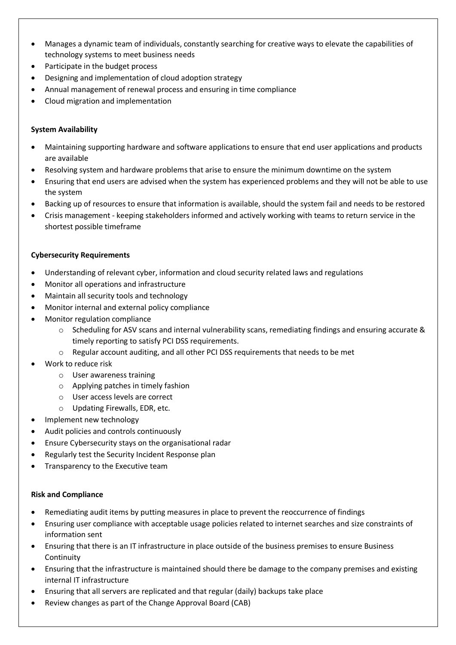- Manages a dynamic team of individuals, constantly searching for creative ways to elevate the capabilities of technology systems to meet business needs
- Participate in the budget process
- Designing and implementation of cloud adoption strategy
- Annual management of renewal process and ensuring in time compliance
- Cloud migration and implementation

# **System Availability**

- Maintaining supporting hardware and software applications to ensure that end user applications and products are available
- Resolving system and hardware problems that arise to ensure the minimum downtime on the system
- Ensuring that end users are advised when the system has experienced problems and they will not be able to use the system
- Backing up of resources to ensure that information is available, should the system fail and needs to be restored
- Crisis management keeping stakeholders informed and actively working with teams to return service in the shortest possible timeframe

## **Cybersecurity Requirements**

- Understanding of relevant cyber, information and cloud security related laws and regulations
- Monitor all operations and infrastructure
- Maintain all security tools and technology
- Monitor internal and external policy compliance
- Monitor regulation compliance
	- $\circ$  Scheduling for ASV scans and internal vulnerability scans, remediating findings and ensuring accurate & timely reporting to satisfy PCI DSS requirements.
	- o Regular account auditing, and all other PCI DSS requirements that needs to be met
- Work to reduce risk
	- o User awareness training
	- o Applying patches in timely fashion
	- o User access levels are correct
	- o Updating Firewalls, EDR, etc.
- Implement new technology
- Audit policies and controls continuously
- Ensure Cybersecurity stays on the organisational radar
- Regularly test the Security Incident Response plan
- Transparency to the Executive team

#### **Risk and Compliance**

- Remediating audit items by putting measures in place to prevent the reoccurrence of findings
- Ensuring user compliance with acceptable usage policies related to internet searches and size constraints of information sent
- Ensuring that there is an IT infrastructure in place outside of the business premises to ensure Business Continuity
- Ensuring that the infrastructure is maintained should there be damage to the company premises and existing internal IT infrastructure
- Ensuring that all servers are replicated and that regular (daily) backups take place
- Review changes as part of the Change Approval Board (CAB)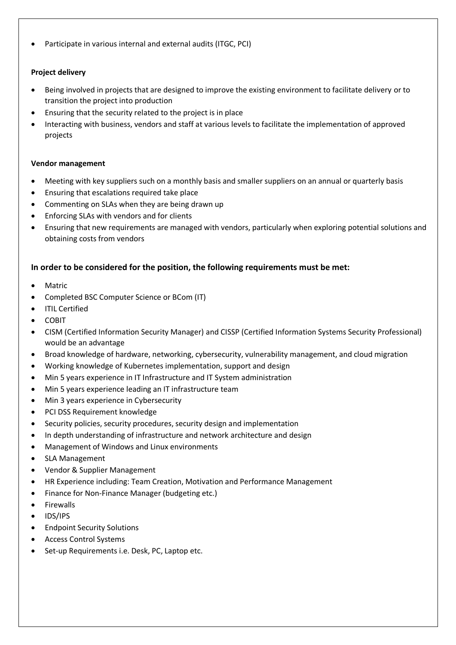Participate in various internal and external audits (ITGC, PCI)

# **Project delivery**

- Being involved in projects that are designed to improve the existing environment to facilitate delivery or to transition the project into production
- Ensuring that the security related to the project is in place
- Interacting with business, vendors and staff at various levels to facilitate the implementation of approved projects

## **Vendor management**

- Meeting with key suppliers such on a monthly basis and smaller suppliers on an annual or quarterly basis
- Ensuring that escalations required take place
- Commenting on SLAs when they are being drawn up
- Enforcing SLAs with vendors and for clients
- Ensuring that new requirements are managed with vendors, particularly when exploring potential solutions and obtaining costs from vendors

# **In order to be considered for the position, the following requirements must be met:**

- Matric
- Completed BSC Computer Science or BCom (IT)
- ITIL Certified
- COBIT
- CISM (Certified Information Security Manager) and CISSP (Certified Information Systems Security Professional) would be an advantage
- Broad knowledge of hardware, networking, cybersecurity, vulnerability management, and cloud migration
- Working knowledge of Kubernetes implementation, support and design
- Min 5 years experience in IT Infrastructure and IT System administration
- Min 5 years experience leading an IT infrastructure team
- Min 3 years experience in Cybersecurity
- PCI DSS Requirement knowledge
- Security policies, security procedures, security design and implementation
- In depth understanding of infrastructure and network architecture and design
- Management of Windows and Linux environments
- SLA Management
- Vendor & Supplier Management
- HR Experience including: Team Creation, Motivation and Performance Management
- Finance for Non-Finance Manager (budgeting etc.)
- **•** Firewalls
- IDS/IPS
- Endpoint Security Solutions
- Access Control Systems
- Set-up Requirements i.e. Desk, PC, Laptop etc.